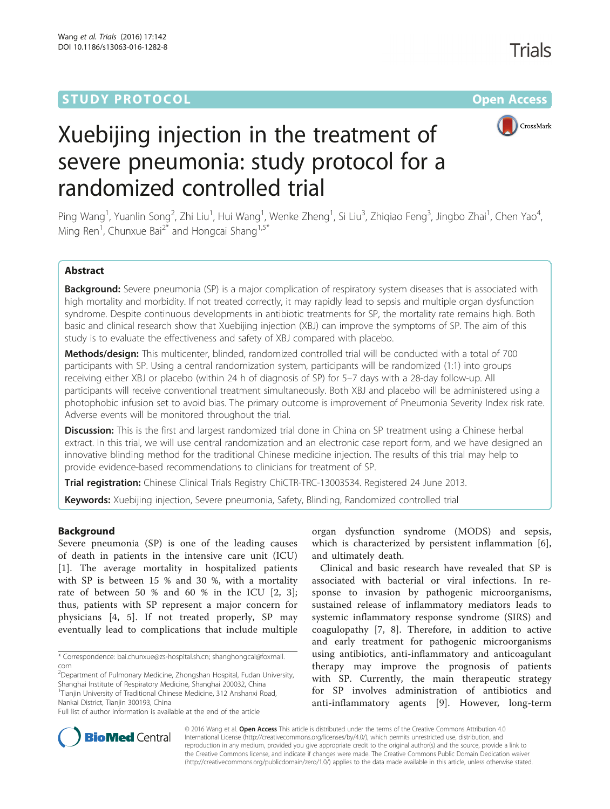## **STUDY PROTOCOL CONSUMING THE RESERVE ACCESS**



# Xuebijing injection in the treatment of severe pneumonia: study protocol for a randomized controlled trial

Ping Wang<sup>1</sup>, Yuanlin Song<sup>2</sup>, Zhi Liu<sup>1</sup>, Hui Wang<sup>1</sup>, Wenke Zheng<sup>1</sup>, Si Liu<sup>3</sup>, Zhiqiao Feng<sup>3</sup>, Jingbo Zhai<sup>1</sup>, Chen Yao<sup>4</sup> , Ming Ren<sup>1</sup>, Chunxue Bai<sup>2\*</sup> and Hongcai Shang<sup>1,5\*</sup>

## Abstract

Background: Severe pneumonia (SP) is a major complication of respiratory system diseases that is associated with high mortality and morbidity. If not treated correctly, it may rapidly lead to sepsis and multiple organ dysfunction syndrome. Despite continuous developments in antibiotic treatments for SP, the mortality rate remains high. Both basic and clinical research show that Xuebijing injection (XBJ) can improve the symptoms of SP. The aim of this study is to evaluate the effectiveness and safety of XBJ compared with placebo.

Methods/design: This multicenter, blinded, randomized controlled trial will be conducted with a total of 700 participants with SP. Using a central randomization system, participants will be randomized (1:1) into groups receiving either XBJ or placebo (within 24 h of diagnosis of SP) for 5–7 days with a 28-day follow-up. All participants will receive conventional treatment simultaneously. Both XBJ and placebo will be administered using a photophobic infusion set to avoid bias. The primary outcome is improvement of Pneumonia Severity Index risk rate. Adverse events will be monitored throughout the trial.

**Discussion:** This is the first and largest randomized trial done in China on SP treatment using a Chinese herbal extract. In this trial, we will use central randomization and an electronic case report form, and we have designed an innovative blinding method for the traditional Chinese medicine injection. The results of this trial may help to provide evidence-based recommendations to clinicians for treatment of SP.

Trial registration: Chinese Clinical Trials Registry [ChiCTR-TRC-13003534](http://www.chictr.org.cn/showproj.aspx?proj=6026). Registered 24 June 2013.

Keywords: Xuebijing injection, Severe pneumonia, Safety, Blinding, Randomized controlled trial

## Background

Severe pneumonia (SP) is one of the leading causes of death in patients in the intensive care unit (ICU) [[1\]](#page-9-0). The average mortality in hospitalized patients with SP is between 15 % and 30 %, with a mortality rate of between 50 % and 60 % in the ICU [\[2](#page-9-0), [3](#page-9-0)]; thus, patients with SP represent a major concern for physicians [[4, 5\]](#page-9-0). If not treated properly, SP may eventually lead to complications that include multiple

\* Correspondence: [bai.chunxue@zs-hospital.sh.cn;](mailto:bai.chunxue@zs-hospital.sh.cn) [shanghongcai@foxmail.](mailto:shanghongcai@foxmail.com) [com](mailto:shanghongcai@foxmail.com)

<sup>2</sup>Department of Pulmonary Medicine, Zhongshan Hospital, Fudan University, Shanghai Institute of Respiratory Medicine, Shanghai 200032, China <sup>1</sup>Tianjin University of Traditional Chinese Medicine, 312 Anshanxi Road,

Nankai District, Tianjin 300193, China

organ dysfunction syndrome (MODS) and sepsis, which is characterized by persistent inflammation [\[6](#page-9-0)], and ultimately death.

Clinical and basic research have revealed that SP is associated with bacterial or viral infections. In response to invasion by pathogenic microorganisms, sustained release of inflammatory mediators leads to systemic inflammatory response syndrome (SIRS) and coagulopathy [[7, 8\]](#page-9-0). Therefore, in addition to active and early treatment for pathogenic microorganisms using antibiotics, anti-inflammatory and anticoagulant therapy may improve the prognosis of patients with SP. Currently, the main therapeutic strategy for SP involves administration of antibiotics and anti-inflammatory agents [[9](#page-9-0)]. However, long-term



© 2016 Wang et al. Open Access This article is distributed under the terms of the Creative Commons Attribution 4.0 International License [\(http://creativecommons.org/licenses/by/4.0/](http://creativecommons.org/licenses/by/4.0/)), which permits unrestricted use, distribution, and reproduction in any medium, provided you give appropriate credit to the original author(s) and the source, provide a link to the Creative Commons license, and indicate if changes were made. The Creative Commons Public Domain Dedication waiver [\(http://creativecommons.org/publicdomain/zero/1.0/](http://creativecommons.org/publicdomain/zero/1.0/)) applies to the data made available in this article, unless otherwise stated.

Full list of author information is available at the end of the article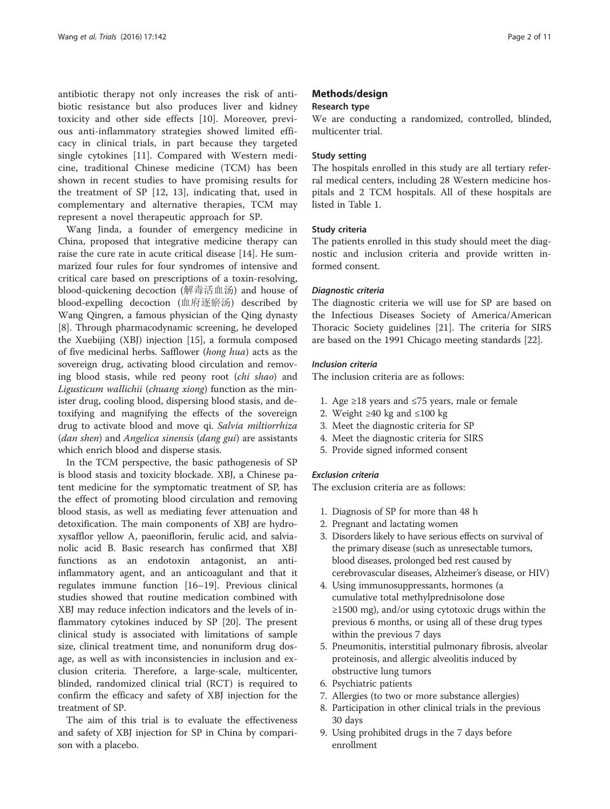antibiotic therapy not only increases the risk of antibiotic resistance but also produces liver and kidney toxicity and other side effects [[10\]](#page-9-0). Moreover, previous anti-inflammatory strategies showed limited efficacy in clinical trials, in part because they targeted single cytokines [\[11](#page-9-0)]. Compared with Western medicine, traditional Chinese medicine (TCM) has been shown in recent studies to have promising results for the treatment of SP [[12, 13\]](#page-9-0), indicating that, used in complementary and alternative therapies, TCM may represent a novel therapeutic approach for SP.

Wang Jinda, a founder of emergency medicine in China, proposed that integrative medicine therapy can raise the cure rate in acute critical disease [\[14](#page-9-0)]. He summarized four rules for four syndromes of intensive and critical care based on prescriptions of a toxin-resolving, blood-quickening decoction (解毒活血汤) and house of blood-expelling decoction (血府逐瘀汤) described by Wang Qingren, a famous physician of the Qing dynasty [[8\]](#page-9-0). Through pharmacodynamic screening, he developed the Xuebijing (XBJ) injection [[15](#page-9-0)], a formula composed of five medicinal herbs. Safflower (hong hua) acts as the sovereign drug, activating blood circulation and removing blood stasis, while red peony root (chi shao) and Ligusticum wallichii (chuang xiong) function as the minister drug, cooling blood, dispersing blood stasis, and detoxifying and magnifying the effects of the sovereign drug to activate blood and move qi. Salvia miltiorrhiza (dan shen) and Angelica sinensis (dang gui) are assistants which enrich blood and disperse stasis.

In the TCM perspective, the basic pathogenesis of SP is blood stasis and toxicity blockade. XBJ, a Chinese patent medicine for the symptomatic treatment of SP, has the effect of promoting blood circulation and removing blood stasis, as well as mediating fever attenuation and detoxification. The main components of XBJ are hydroxysafflor yellow A, paeoniflorin, ferulic acid, and salvianolic acid B. Basic research has confirmed that XBJ functions as an endotoxin antagonist, an antiinflammatory agent, and an anticoagulant and that it regulates immune function [\[16](#page-9-0)–[19\]](#page-9-0). Previous clinical studies showed that routine medication combined with XBJ may reduce infection indicators and the levels of inflammatory cytokines induced by SP [\[20\]](#page-9-0). The present clinical study is associated with limitations of sample size, clinical treatment time, and nonuniform drug dosage, as well as with inconsistencies in inclusion and exclusion criteria. Therefore, a large-scale, multicenter, blinded, randomized clinical trial (RCT) is required to confirm the efficacy and safety of XBJ injection for the treatment of SP.

The aim of this trial is to evaluate the effectiveness and safety of XBJ injection for SP in China by comparison with a placebo.

## Methods/design

#### Research type

We are conducting a randomized, controlled, blinded, multicenter trial.

## Study setting

The hospitals enrolled in this study are all tertiary referral medical centers, including 28 Western medicine hospitals and 2 TCM hospitals. All of these hospitals are listed in Table [1](#page-2-0).

## Study criteria

The patients enrolled in this study should meet the diagnostic and inclusion criteria and provide written informed consent.

#### Diagnostic criteria

The diagnostic criteria we will use for SP are based on the Infectious Diseases Society of America/American Thoracic Society guidelines [\[21](#page-9-0)]. The criteria for SIRS are based on the 1991 Chicago meeting standards [[22\]](#page-9-0).

#### Inclusion criteria

The inclusion criteria are as follows:

- 1. Age ≥18 years and ≤75 years, male or female
- 2. Weight ≥40 kg and ≤100 kg
- 3. Meet the diagnostic criteria for SP
- 4. Meet the diagnostic criteria for SIRS
- 5. Provide signed informed consent

## Exclusion criteria

The exclusion criteria are as follows:

- 1. Diagnosis of SP for more than 48 h
- 2. Pregnant and lactating women
- 3. Disorders likely to have serious effects on survival of the primary disease (such as unresectable tumors, blood diseases, prolonged bed rest caused by cerebrovascular diseases, Alzheimer's disease, or HIV)
- 4. Using immunosuppressants, hormones (a cumulative total methylprednisolone dose ≥1500 mg), and/or using cytotoxic drugs within the previous 6 months, or using all of these drug types within the previous 7 days
- 5. Pneumonitis, interstitial pulmonary fibrosis, alveolar proteinosis, and allergic alveolitis induced by obstructive lung tumors
- 6. Psychiatric patients
- 7. Allergies (to two or more substance allergies)
- 8. Participation in other clinical trials in the previous 30 days
- 9. Using prohibited drugs in the 7 days before enrollment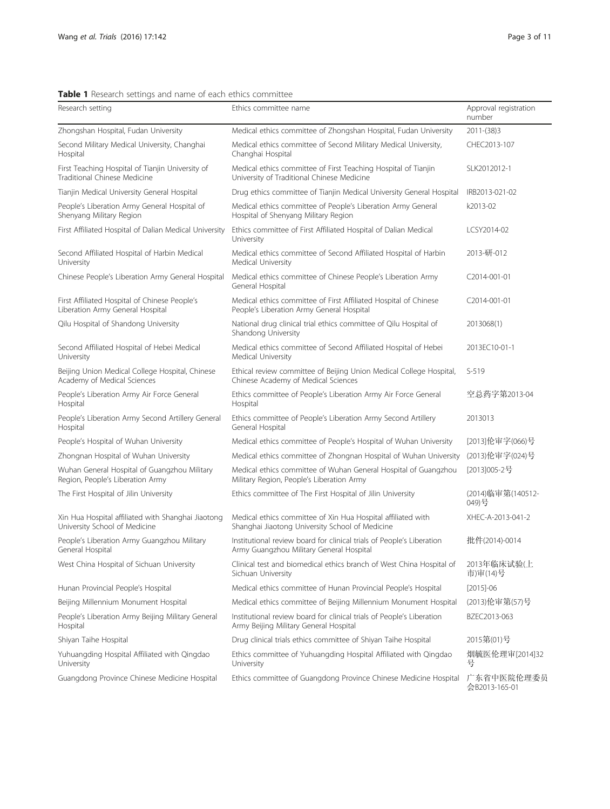<span id="page-2-0"></span>

| Table 1 Research settings and name of each ethics committee |  |
|-------------------------------------------------------------|--|
|-------------------------------------------------------------|--|

| Research setting                                                                    | Ethics committee name                                                                                             | Approval registration<br>number |  |  |
|-------------------------------------------------------------------------------------|-------------------------------------------------------------------------------------------------------------------|---------------------------------|--|--|
| Zhongshan Hospital, Fudan University                                                | Medical ethics committee of Zhongshan Hospital, Fudan University                                                  | $2011-(38)3$                    |  |  |
| Second Military Medical University, Changhai<br>Hospital                            | Medical ethics committee of Second Military Medical University,<br>Changhai Hospital                              | CHEC2013-107                    |  |  |
| First Teaching Hospital of Tianjin University of<br>Traditional Chinese Medicine    | Medical ethics committee of First Teaching Hospital of Tianjin<br>University of Traditional Chinese Medicine      | SLK2012012-1                    |  |  |
| Tianjin Medical University General Hospital                                         | Drug ethics committee of Tianjin Medical University General Hospital                                              | IRB2013-021-02                  |  |  |
| People's Liberation Army General Hospital of<br>Shenyang Military Region            | Medical ethics committee of People's Liberation Army General<br>Hospital of Shenyang Military Region              | k2013-02                        |  |  |
| First Affiliated Hospital of Dalian Medical University                              | Ethics committee of First Affiliated Hospital of Dalian Medical<br>University                                     | LCSY2014-02                     |  |  |
| Second Affiliated Hospital of Harbin Medical<br>University                          | Medical ethics committee of Second Affiliated Hospital of Harbin<br>Medical University                            | 2013-研-012                      |  |  |
| Chinese People's Liberation Army General Hospital                                   | Medical ethics committee of Chinese People's Liberation Army<br>General Hospital                                  | C2014-001-01                    |  |  |
| First Affiliated Hospital of Chinese People's<br>Liberation Army General Hospital   | Medical ethics committee of First Affiliated Hospital of Chinese<br>People's Liberation Army General Hospital     | C2014-001-01                    |  |  |
| Qilu Hospital of Shandong University                                                | National drug clinical trial ethics committee of Qilu Hospital of<br>Shandong University                          | 2013068(1)                      |  |  |
| Second Affiliated Hospital of Hebei Medical<br>University                           | Medical ethics committee of Second Affiliated Hospital of Hebei<br>Medical University                             | 2013EC10-01-1                   |  |  |
| Beijing Union Medical College Hospital, Chinese<br>Academy of Medical Sciences      | Ethical review committee of Beijing Union Medical College Hospital,<br>Chinese Academy of Medical Sciences        | $S-519$                         |  |  |
| People's Liberation Army Air Force General<br>Hospital                              | Ethics committee of People's Liberation Army Air Force General<br>Hospital                                        | 空总药字第2013-04                    |  |  |
| People's Liberation Army Second Artillery General<br>Hospital                       | Ethics committee of People's Liberation Army Second Artillery<br>General Hospital                                 | 2013013                         |  |  |
| People's Hospital of Wuhan University                                               | Medical ethics committee of People's Hospital of Wuhan University                                                 | [2013]伦审字(066)号                 |  |  |
| Zhongnan Hospital of Wuhan University                                               | Medical ethics committee of Zhongnan Hospital of Wuhan University                                                 | (2013) 伦审字(024) 号               |  |  |
| Wuhan General Hospital of Guangzhou Military<br>Region, People's Liberation Army    | Medical ethics committee of Wuhan General Hospital of Guangzhou<br>Military Region, People's Liberation Army      | [2013]005-2号                    |  |  |
| The First Hospital of Jilin University                                              | Ethics committee of The First Hospital of Jilin University                                                        | (2014)临审第(140512-<br>049)号      |  |  |
| Xin Hua Hospital affiliated with Shanghai Jiaotong<br>University School of Medicine | Medical ethics committee of Xin Hua Hospital affiliated with<br>Shanghai Jiaotong University School of Medicine   | XHEC-A-2013-041-2               |  |  |
| People's Liberation Army Guangzhou Military<br>General Hospital                     | Institutional review board for clinical trials of People's Liberation<br>Army Guangzhou Military General Hospital | 批件(2014)-0014                   |  |  |
| West China Hospital of Sichuan University                                           | Clinical test and biomedical ethics branch of West China Hospital of<br>Sichuan University                        | 2013年临床试验(上<br>市)审(14)号         |  |  |
| Hunan Provincial People's Hospital                                                  | Medical ethics committee of Hunan Provincial People's Hospital                                                    | $[2015] - 06$                   |  |  |
| Beijing Millennium Monument Hospital                                                | Medical ethics committee of Beijing Millennium Monument Hospital                                                  | (2013) 伦审第(57) 号                |  |  |
| People's Liberation Army Beijing Military General<br>Hospital                       | Institutional review board for clinical trials of People's Liberation<br>Army Beijing Military General Hospital   | BZEC2013-063                    |  |  |
| Shiyan Taihe Hospital                                                               | Drug clinical trials ethics committee of Shiyan Taihe Hospital                                                    | 2015第(01)号                      |  |  |
| Yuhuangding Hospital Affiliated with Qingdao<br>University                          | Ethics committee of Yuhuangding Hospital Affiliated with Qingdao<br>University                                    | 烟毓医伦理审[2014]32<br>뮥             |  |  |
| Guangdong Province Chinese Medicine Hospital                                        | Ethics committee of Guangdong Province Chinese Medicine Hospital                                                  | 广东省中医院伦理委员<br>会B2013-165-01     |  |  |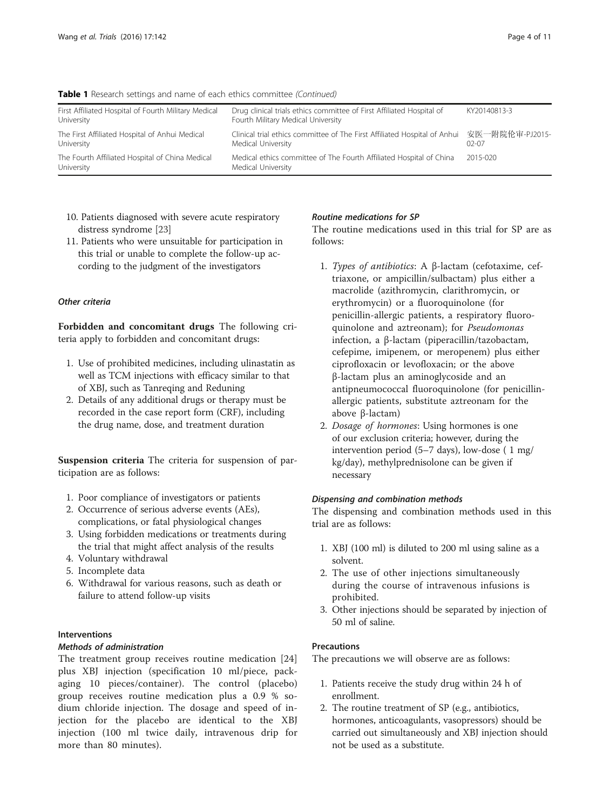| The Fourth Affiliated Hospital of China Medical<br>University      | Medical ethics committee of The Fourth Affiliated Hospital of China<br>Medical University                       | 2015-020     |
|--------------------------------------------------------------------|-----------------------------------------------------------------------------------------------------------------|--------------|
| The First Affiliated Hospital of Anhui Medical<br>University       | Clinical trial ethics committee of The First Affiliated Hospital of Anhui 安医一附院伦审-PJ2015-<br>Medical University | 02-07        |
| First Affiliated Hospital of Fourth Military Medical<br>University | Drug clinical trials ethics committee of First Affiliated Hospital of<br>Fourth Military Medical University     | KY20140813-3 |

Table 1 Research settings and name of each ethics committee (Continued)

- 10. Patients diagnosed with severe acute respiratory distress syndrome [[23](#page-9-0)]
- 11. Patients who were unsuitable for participation in this trial or unable to complete the follow-up according to the judgment of the investigators

## Other criteria

Forbidden and concomitant drugs The following criteria apply to forbidden and concomitant drugs:

- 1. Use of prohibited medicines, including ulinastatin as well as TCM injections with efficacy similar to that of XBJ, such as Tanreqing and Reduning
- 2. Details of any additional drugs or therapy must be recorded in the case report form (CRF), including the drug name, dose, and treatment duration

Suspension criteria The criteria for suspension of participation are as follows:

- 1. Poor compliance of investigators or patients
- 2. Occurrence of serious adverse events (AEs), complications, or fatal physiological changes
- 3. Using forbidden medications or treatments during the trial that might affect analysis of the results
- 4. Voluntary withdrawal
- 5. Incomplete data
- 6. Withdrawal for various reasons, such as death or failure to attend follow-up visits

## Interventions

## Methods of administration

The treatment group receives routine medication [\[24](#page-9-0)] plus XBJ injection (specification 10 ml/piece, packaging 10 pieces/container). The control (placebo) group receives routine medication plus a 0.9 % sodium chloride injection. The dosage and speed of injection for the placebo are identical to the XBJ injection (100 ml twice daily, intravenous drip for more than 80 minutes).

## Routine medications for SP

The routine medications used in this trial for SP are as follows:

- 1. Types of antibiotics: A β-lactam (cefotaxime, ceftriaxone, or ampicillin/sulbactam) plus either a macrolide (azithromycin, clarithromycin, or erythromycin) or a fluoroquinolone (for penicillin-allergic patients, a respiratory fluoroquinolone and aztreonam); for Pseudomonas infection, a β-lactam (piperacillin/tazobactam, cefepime, imipenem, or meropenem) plus either ciprofloxacin or levofloxacin; or the above β-lactam plus an aminoglycoside and an antipneumococcal fluoroquinolone (for penicillinallergic patients, substitute aztreonam for the above β-lactam)
- 2. Dosage of hormones: Using hormones is one of our exclusion criteria; however, during the intervention period (5–7 days), low-dose ( 1 mg/ kg/day), methylprednisolone can be given if necessary

## Dispensing and combination methods

The dispensing and combination methods used in this trial are as follows:

- 1. XBJ (100 ml) is diluted to 200 ml using saline as a solvent.
- 2. The use of other injections simultaneously during the course of intravenous infusions is prohibited.
- 3. Other injections should be separated by injection of 50 ml of saline.

## **Precautions**

The precautions we will observe are as follows:

- 1. Patients receive the study drug within 24 h of enrollment.
- 2. The routine treatment of SP (e.g., antibiotics, hormones, anticoagulants, vasopressors) should be carried out simultaneously and XBJ injection should not be used as a substitute.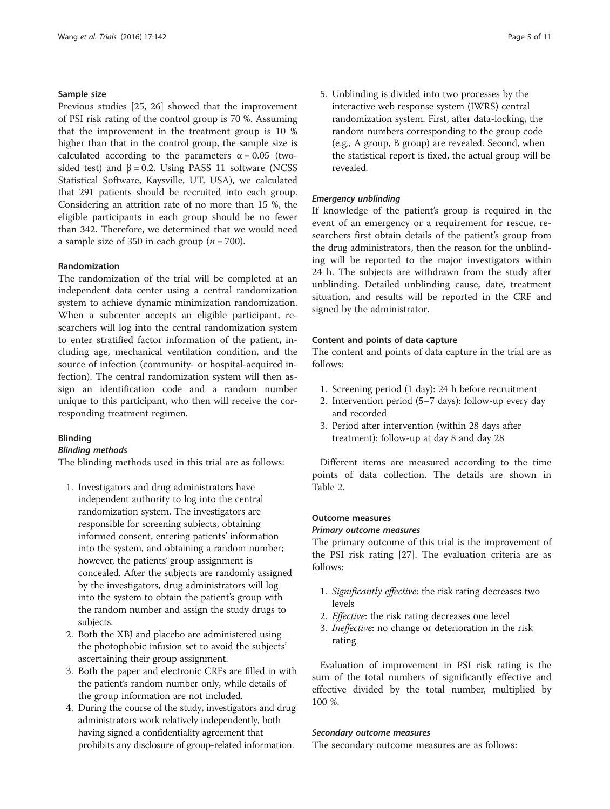## Sample size

Previous studies [\[25, 26\]](#page-9-0) showed that the improvement of PSI risk rating of the control group is 70 %. Assuming that the improvement in the treatment group is 10 % higher than that in the control group, the sample size is calculated according to the parameters  $\alpha = 0.05$  (twosided test) and  $\beta = 0.2$ . Using PASS 11 software (NCSS Statistical Software, Kaysville, UT, USA), we calculated that 291 patients should be recruited into each group. Considering an attrition rate of no more than 15 %, the eligible participants in each group should be no fewer than 342. Therefore, we determined that we would need a sample size of 350 in each group ( $n = 700$ ).

## Randomization

The randomization of the trial will be completed at an independent data center using a central randomization system to achieve dynamic minimization randomization. When a subcenter accepts an eligible participant, researchers will log into the central randomization system to enter stratified factor information of the patient, including age, mechanical ventilation condition, and the source of infection (community- or hospital-acquired infection). The central randomization system will then assign an identification code and a random number unique to this participant, who then will receive the corresponding treatment regimen.

#### Blinding

#### Blinding methods

The blinding methods used in this trial are as follows:

- 1. Investigators and drug administrators have independent authority to log into the central randomization system. The investigators are responsible for screening subjects, obtaining informed consent, entering patients' information into the system, and obtaining a random number; however, the patients' group assignment is concealed. After the subjects are randomly assigned by the investigators, drug administrators will log into the system to obtain the patient's group with the random number and assign the study drugs to subjects.
- 2. Both the XBJ and placebo are administered using the photophobic infusion set to avoid the subjects' ascertaining their group assignment.
- 3. Both the paper and electronic CRFs are filled in with the patient's random number only, while details of the group information are not included.
- 4. During the course of the study, investigators and drug administrators work relatively independently, both having signed a confidentiality agreement that prohibits any disclosure of group-related information.

5. Unblinding is divided into two processes by the interactive web response system (IWRS) central randomization system. First, after data-locking, the random numbers corresponding to the group code (e.g., A group, B group) are revealed. Second, when the statistical report is fixed, the actual group will be revealed.

#### Emergency unblinding

If knowledge of the patient's group is required in the event of an emergency or a requirement for rescue, researchers first obtain details of the patient's group from the drug administrators, then the reason for the unblinding will be reported to the major investigators within 24 h. The subjects are withdrawn from the study after unblinding. Detailed unblinding cause, date, treatment situation, and results will be reported in the CRF and signed by the administrator.

## Content and points of data capture

The content and points of data capture in the trial are as follows:

- 1. Screening period (1 day): 24 h before recruitment
- 2. Intervention period (5–7 days): follow-up every day and recorded
- 3. Period after intervention (within 28 days after treatment): follow-up at day 8 and day 28

Different items are measured according to the time points of data collection. The details are shown in Table [2.](#page-5-0)

## Outcome measures

#### Primary outcome measures

The primary outcome of this trial is the improvement of the PSI risk rating [\[27](#page-9-0)]. The evaluation criteria are as follows:

- 1. Significantly effective: the risk rating decreases two levels
- 2. Effective: the risk rating decreases one level
- 3. Ineffective: no change or deterioration in the risk rating

Evaluation of improvement in PSI risk rating is the sum of the total numbers of significantly effective and effective divided by the total number, multiplied by 100 %.

#### Secondary outcome measures

The secondary outcome measures are as follows: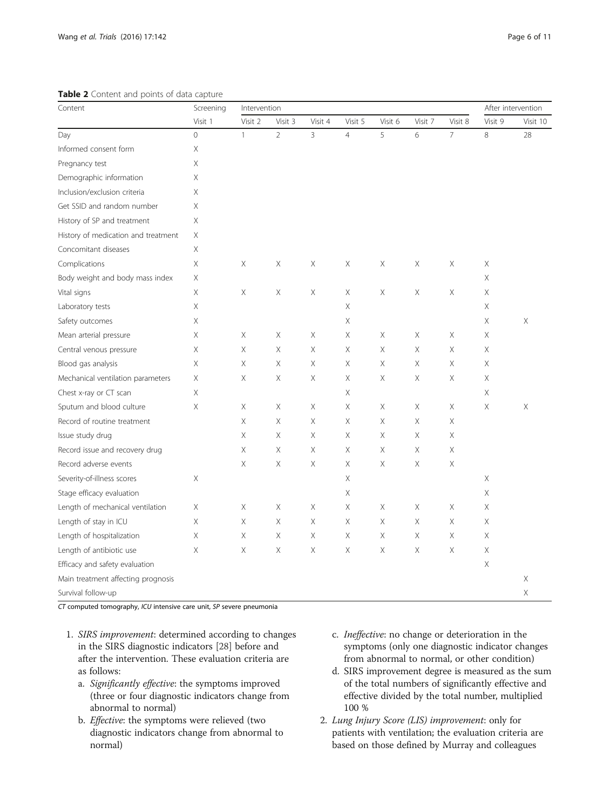#### <span id="page-5-0"></span>Table 2 Content and points of data capture

| Content                             | Screening<br>Visit 1 | Intervention |                |                |                |          | After intervention |                |         |          |
|-------------------------------------|----------------------|--------------|----------------|----------------|----------------|----------|--------------------|----------------|---------|----------|
|                                     |                      | Visit 2      | Visit 3        | Visit 4        | Visit 5        | Visit 6  | Visit 7            | Visit 8        | Visit 9 | Visit 10 |
| Day                                 | $\overline{0}$       | $\mathbf{1}$ | $\overline{2}$ | $\overline{3}$ | $\overline{4}$ | 5        | 6                  | $\overline{7}$ | 8       | 28       |
| Informed consent form               | Χ                    |              |                |                |                |          |                    |                |         |          |
| Pregnancy test                      | Χ                    |              |                |                |                |          |                    |                |         |          |
| Demographic information             | Χ                    |              |                |                |                |          |                    |                |         |          |
| Inclusion/exclusion criteria        | Χ                    |              |                |                |                |          |                    |                |         |          |
| Get SSID and random number          | X                    |              |                |                |                |          |                    |                |         |          |
| History of SP and treatment         | Χ                    |              |                |                |                |          |                    |                |         |          |
| History of medication and treatment | Χ                    |              |                |                |                |          |                    |                |         |          |
| Concomitant diseases                | Χ                    |              |                |                |                |          |                    |                |         |          |
| Complications                       | Χ                    | X            | Χ              | Χ              | Χ              | Χ        | Χ                  | Χ              | Χ       |          |
| Body weight and body mass index     | X                    |              |                |                |                |          |                    |                | X       |          |
| Vital signs                         | Χ                    | X            | Χ              | Χ              | Χ              | Χ        | Χ                  | Χ              | Χ       |          |
| Laboratory tests                    | Χ                    |              |                |                | Χ              |          |                    |                | Χ       |          |
| Safety outcomes                     | Χ                    |              |                |                | Χ              |          |                    |                | Χ       | Χ        |
| Mean arterial pressure              | X                    | Χ            | Χ              | Χ              | X              | Χ        | Χ                  | Χ              | Χ       |          |
| Central venous pressure             | X                    | X            | $\times$       | X              | Χ              | Χ        | Χ                  | $\times$       | X       |          |
| Blood gas analysis                  | Χ                    | X            | Χ              | Χ              | Χ              | Χ        | $\mathsf X$        | Χ              | Χ       |          |
| Mechanical ventilation parameters   | Χ                    | X            | Χ              | Χ              | Χ              | Χ        | Χ                  | Χ              | Χ       |          |
| Chest x-ray or CT scan              | Χ                    |              |                |                | Χ              |          |                    |                | Χ       |          |
| Sputum and blood culture            | Χ                    | Χ            | Χ              | Χ              | Χ              | Χ        | Χ                  | Χ              | Χ       | Χ        |
| Record of routine treatment         |                      | Χ            | $\times$       | X              | Χ              | $\times$ | Χ                  | $\times$       |         |          |
| Issue study drug                    |                      | Χ            | Χ              | Χ              | Χ              | Χ        | Χ                  | Χ              |         |          |
| Record issue and recovery drug      |                      | Χ            | Χ              | Χ              | Χ              | Χ        | $\mathsf X$        | Χ              |         |          |
| Record adverse events               |                      | Χ            | Χ              | Χ              | Χ              | Χ        | Χ                  | Χ              |         |          |
| Severity-of-illness scores          | Χ                    |              |                |                | Χ              |          |                    |                | Χ       |          |
| Stage efficacy evaluation           |                      |              |                |                | Χ              |          |                    |                | X       |          |
| Length of mechanical ventilation    | Χ                    | X            | Χ              | Χ              | Χ              | Χ        | Χ                  | Χ              | Χ       |          |
| Length of stay in ICU               | Χ                    | Χ            | Χ              | Χ              | Χ              | Χ        | Χ                  | X              | Χ       |          |
| Length of hospitalization           | Χ                    | Χ            | Χ              | Χ              | Χ              | Χ        | Χ                  | Χ              | Χ       |          |
| Length of antibiotic use            | X                    | Χ            | X              | X              | X              | X        | X                  | $\times$       | Χ       |          |
| Efficacy and safety evaluation      |                      |              |                |                |                |          |                    |                | Χ       |          |
| Main treatment affecting prognosis  |                      |              |                |                |                |          |                    |                |         | Χ        |
| Survival follow-up                  |                      |              |                |                |                |          |                    |                |         | Χ        |

CT computed tomography, ICU intensive care unit, SP severe pneumonia

- 1. SIRS improvement: determined according to changes in the SIRS diagnostic indicators [[28](#page-9-0)] before and after the intervention. These evaluation criteria are as follows:
	- a. Significantly effective: the symptoms improved (three or four diagnostic indicators change from abnormal to normal)
	- b. Effective: the symptoms were relieved (two diagnostic indicators change from abnormal to normal)
- c. Ineffective: no change or deterioration in the symptoms (only one diagnostic indicator changes from abnormal to normal, or other condition)
- d. SIRS improvement degree is measured as the sum of the total numbers of significantly effective and effective divided by the total number, multiplied 100 %
- 2. Lung Injury Score (LIS) improvement: only for patients with ventilation; the evaluation criteria are based on those defined by Murray and colleagues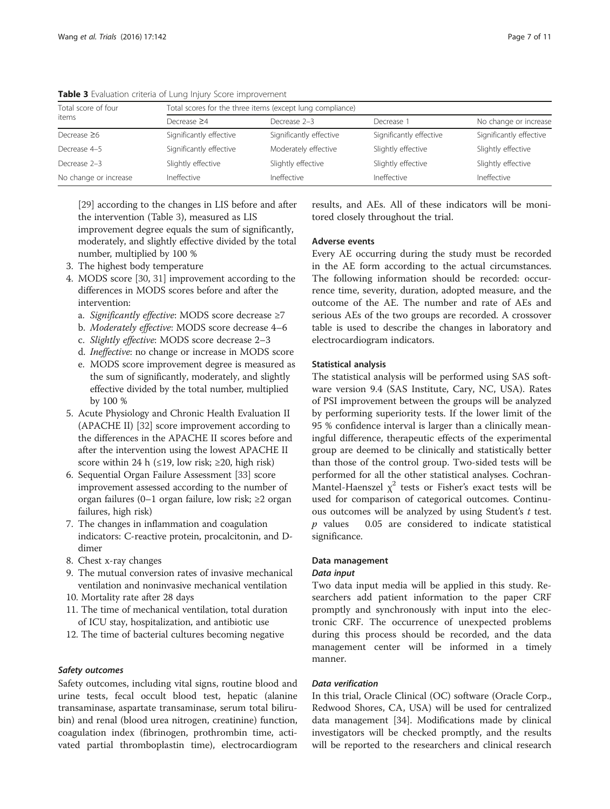| Page 7 o |  |  |
|----------|--|--|
|----------|--|--|

| Total score of four<br>items | Total scores for the three items (except lung compliance) |                         |                         |                         |  |  |  |  |
|------------------------------|-----------------------------------------------------------|-------------------------|-------------------------|-------------------------|--|--|--|--|
|                              | Decrease $\geq$ 4                                         | Decrease 2-3            | Decrease <sup>2</sup>   | No change or increase   |  |  |  |  |
| Decrease $\geq 6$            | Significantly effective                                   | Significantly effective | Significantly effective | Significantly effective |  |  |  |  |
| Decrease 4-5                 | Significantly effective                                   | Moderately effective    | Slightly effective      | Slightly effective      |  |  |  |  |
| Decrease 2-3                 | Slightly effective                                        | Slightly effective      | Slightly effective      | Slightly effective      |  |  |  |  |
| No change or increase        | Ineffective                                               | Ineffective             | Ineffective             | Ineffective             |  |  |  |  |

Table 3 Evaluation criteria of Lung Injury Score improvement

[\[29](#page-9-0)] according to the changes in LIS before and after the intervention (Table 3), measured as LIS improvement degree equals the sum of significantly,

moderately, and slightly effective divided by the total number, multiplied by 100 %

- 3. The highest body temperature
- 4. MODS score [\[30,](#page-9-0) [31](#page-9-0)] improvement according to the differences in MODS scores before and after the intervention:
	- a. Significantly effective: MODS score decrease ≥7
	- b. Moderately effective: MODS score decrease 4–6
	- c. Slightly effective: MODS score decrease 2–3
	- d. Ineffective: no change or increase in MODS score
	- e. MODS score improvement degree is measured as the sum of significantly, moderately, and slightly effective divided by the total number, multiplied by 100 %
- 5. Acute Physiology and Chronic Health Evaluation II (APACHE II) [[32](#page-9-0)] score improvement according to the differences in the APACHE II scores before and after the intervention using the lowest APACHE II score within 24 h (≤19, low risk; ≥20, high risk)
- 6. Sequential Organ Failure Assessment [\[33](#page-9-0)] score improvement assessed according to the number of organ failures (0–1 organ failure, low risk; ≥2 organ failures, high risk)
- 7. The changes in inflammation and coagulation indicators: C-reactive protein, procalcitonin, and Ddimer
- 8. Chest x-ray changes
- 9. The mutual conversion rates of invasive mechanical ventilation and noninvasive mechanical ventilation
- 10. Mortality rate after 28 days
- 11. The time of mechanical ventilation, total duration of ICU stay, hospitalization, and antibiotic use
- 12. The time of bacterial cultures becoming negative

## Safety outcomes

Safety outcomes, including vital signs, routine blood and urine tests, fecal occult blood test, hepatic (alanine transaminase, aspartate transaminase, serum total bilirubin) and renal (blood urea nitrogen, creatinine) function, coagulation index (fibrinogen, prothrombin time, activated partial thromboplastin time), electrocardiogram

results, and AEs. All of these indicators will be monitored closely throughout the trial.

## Adverse events

Every AE occurring during the study must be recorded in the AE form according to the actual circumstances. The following information should be recorded: occurrence time, severity, duration, adopted measure, and the outcome of the AE. The number and rate of AEs and serious AEs of the two groups are recorded. A crossover table is used to describe the changes in laboratory and electrocardiogram indicators.

## Statistical analysis

The statistical analysis will be performed using SAS software version 9.4 (SAS Institute, Cary, NC, USA). Rates of PSI improvement between the groups will be analyzed by performing superiority tests. If the lower limit of the 95 % confidence interval is larger than a clinically meaningful difference, therapeutic effects of the experimental group are deemed to be clinically and statistically better than those of the control group. Two-sided tests will be performed for all the other statistical analyses. Cochran-Mantel-Haenszel  $\chi^2$  tests or Fisher's exact tests will be used for comparison of categorical outcomes. Continuous outcomes will be analyzed by using Student's  $t$  test.  $p$  values  $0.05$  are considered to indicate statistical significance.

## Data management

## Data input

Two data input media will be applied in this study. Researchers add patient information to the paper CRF promptly and synchronously with input into the electronic CRF. The occurrence of unexpected problems during this process should be recorded, and the data management center will be informed in a timely manner.

## Data verification

In this trial, Oracle Clinical (OC) software (Oracle Corp., Redwood Shores, CA, USA) will be used for centralized data management [\[34](#page-9-0)]. Modifications made by clinical investigators will be checked promptly, and the results will be reported to the researchers and clinical research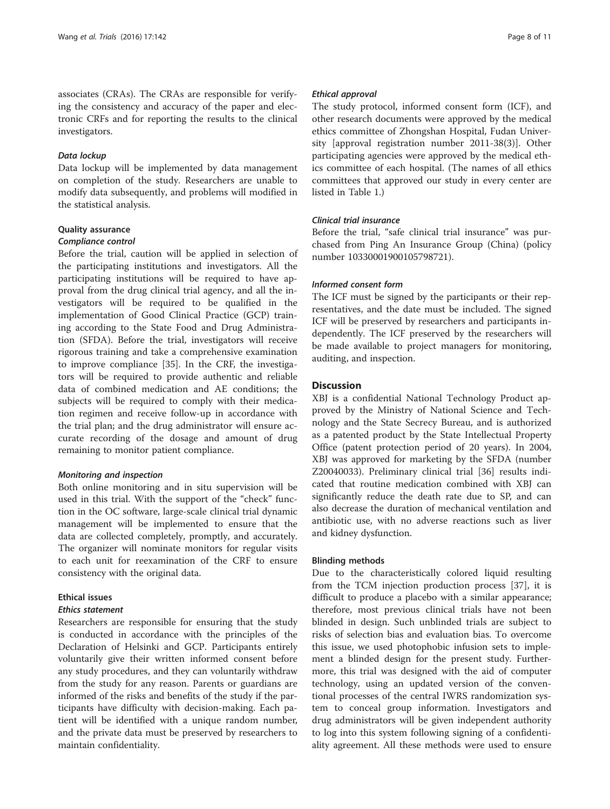associates (CRAs). The CRAs are responsible for verifying the consistency and accuracy of the paper and electronic CRFs and for reporting the results to the clinical investigators.

#### Data lockup

Data lockup will be implemented by data management on completion of the study. Researchers are unable to modify data subsequently, and problems will modified in the statistical analysis.

#### Quality assurance

#### Compliance control

Before the trial, caution will be applied in selection of the participating institutions and investigators. All the participating institutions will be required to have approval from the drug clinical trial agency, and all the investigators will be required to be qualified in the implementation of Good Clinical Practice (GCP) training according to the State Food and Drug Administration (SFDA). Before the trial, investigators will receive rigorous training and take a comprehensive examination to improve compliance [\[35](#page-9-0)]. In the CRF, the investigators will be required to provide authentic and reliable data of combined medication and AE conditions; the subjects will be required to comply with their medication regimen and receive follow-up in accordance with the trial plan; and the drug administrator will ensure accurate recording of the dosage and amount of drug remaining to monitor patient compliance.

#### Monitoring and inspection

Both online monitoring and in situ supervision will be used in this trial. With the support of the "check" function in the OC software, large-scale clinical trial dynamic management will be implemented to ensure that the data are collected completely, promptly, and accurately. The organizer will nominate monitors for regular visits to each unit for reexamination of the CRF to ensure consistency with the original data.

#### Ethical issues

#### Ethics statement

Researchers are responsible for ensuring that the study is conducted in accordance with the principles of the Declaration of Helsinki and GCP. Participants entirely voluntarily give their written informed consent before any study procedures, and they can voluntarily withdraw from the study for any reason. Parents or guardians are informed of the risks and benefits of the study if the participants have difficulty with decision-making. Each patient will be identified with a unique random number, and the private data must be preserved by researchers to maintain confidentiality.

#### Ethical approval

The study protocol, informed consent form (ICF), and other research documents were approved by the medical ethics committee of Zhongshan Hospital, Fudan University [approval registration number 2011-38(3)]. Other participating agencies were approved by the medical ethics committee of each hospital. (The names of all ethics committees that approved our study in every center are listed in Table [1](#page-2-0).)

## Clinical trial insurance

Before the trial, "safe clinical trial insurance" was purchased from Ping An Insurance Group (China) (policy number 10330001900105798721).

## Informed consent form

The ICF must be signed by the participants or their representatives, and the date must be included. The signed ICF will be preserved by researchers and participants independently. The ICF preserved by the researchers will be made available to project managers for monitoring, auditing, and inspection.

## **Discussion**

XBJ is a confidential National Technology Product approved by the Ministry of National Science and Technology and the State Secrecy Bureau, and is authorized as a patented product by the State Intellectual Property Office (patent protection period of 20 years). In 2004, XBJ was approved for marketing by the SFDA (number Z20040033). Preliminary clinical trial [\[36\]](#page-9-0) results indicated that routine medication combined with XBJ can significantly reduce the death rate due to SP, and can also decrease the duration of mechanical ventilation and antibiotic use, with no adverse reactions such as liver and kidney dysfunction.

#### Blinding methods

Due to the characteristically colored liquid resulting from the TCM injection production process [[37\]](#page-9-0), it is difficult to produce a placebo with a similar appearance; therefore, most previous clinical trials have not been blinded in design. Such unblinded trials are subject to risks of selection bias and evaluation bias. To overcome this issue, we used photophobic infusion sets to implement a blinded design for the present study. Furthermore, this trial was designed with the aid of computer technology, using an updated version of the conventional processes of the central IWRS randomization system to conceal group information. Investigators and drug administrators will be given independent authority to log into this system following signing of a confidentiality agreement. All these methods were used to ensure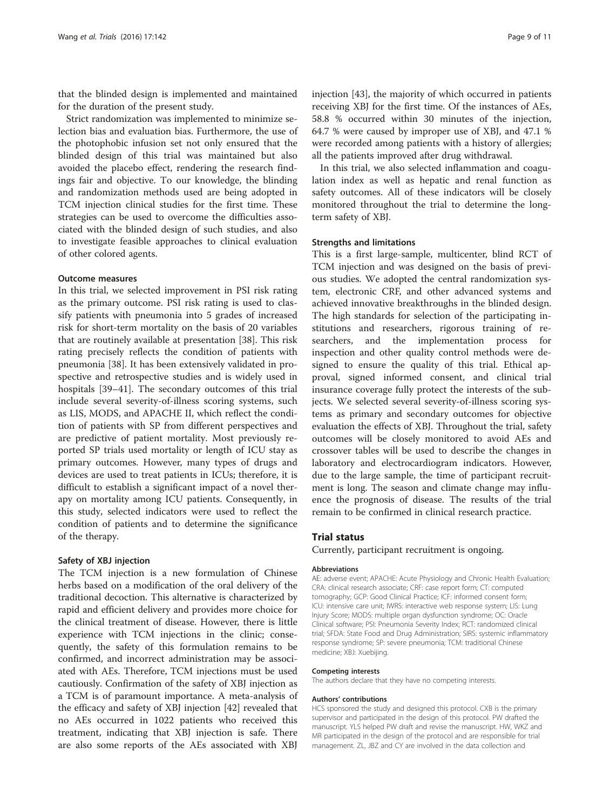that the blinded design is implemented and maintained for the duration of the present study.

Strict randomization was implemented to minimize selection bias and evaluation bias. Furthermore, the use of the photophobic infusion set not only ensured that the blinded design of this trial was maintained but also avoided the placebo effect, rendering the research findings fair and objective. To our knowledge, the blinding and randomization methods used are being adopted in TCM injection clinical studies for the first time. These strategies can be used to overcome the difficulties associated with the blinded design of such studies, and also to investigate feasible approaches to clinical evaluation of other colored agents.

## Outcome measures

In this trial, we selected improvement in PSI risk rating as the primary outcome. PSI risk rating is used to classify patients with pneumonia into 5 grades of increased risk for short-term mortality on the basis of 20 variables that are routinely available at presentation [\[38](#page-9-0)]. This risk rating precisely reflects the condition of patients with pneumonia [[38\]](#page-9-0). It has been extensively validated in prospective and retrospective studies and is widely used in hospitals [[39](#page-9-0)–[41](#page-10-0)]. The secondary outcomes of this trial include several severity-of-illness scoring systems, such as LIS, MODS, and APACHE II, which reflect the condition of patients with SP from different perspectives and are predictive of patient mortality. Most previously reported SP trials used mortality or length of ICU stay as primary outcomes. However, many types of drugs and devices are used to treat patients in ICUs; therefore, it is difficult to establish a significant impact of a novel therapy on mortality among ICU patients. Consequently, in this study, selected indicators were used to reflect the condition of patients and to determine the significance of the therapy.

#### Safety of XBJ injection

The TCM injection is a new formulation of Chinese herbs based on a modification of the oral delivery of the traditional decoction. This alternative is characterized by rapid and efficient delivery and provides more choice for the clinical treatment of disease. However, there is little experience with TCM injections in the clinic; consequently, the safety of this formulation remains to be confirmed, and incorrect administration may be associated with AEs. Therefore, TCM injections must be used cautiously. Confirmation of the safety of XBJ injection as a TCM is of paramount importance. A meta-analysis of the efficacy and safety of XBJ injection [[42\]](#page-10-0) revealed that no AEs occurred in 1022 patients who received this treatment, indicating that XBJ injection is safe. There are also some reports of the AEs associated with XBJ

injection [[43](#page-10-0)], the majority of which occurred in patients receiving XBJ for the first time. Of the instances of AEs, 58.8 % occurred within 30 minutes of the injection, 64.7 % were caused by improper use of XBJ, and 47.1 % were recorded among patients with a history of allergies; all the patients improved after drug withdrawal.

In this trial, we also selected inflammation and coagulation index as well as hepatic and renal function as safety outcomes. All of these indicators will be closely monitored throughout the trial to determine the longterm safety of XBJ.

#### Strengths and limitations

This is a first large-sample, multicenter, blind RCT of TCM injection and was designed on the basis of previous studies. We adopted the central randomization system, electronic CRF, and other advanced systems and achieved innovative breakthroughs in the blinded design. The high standards for selection of the participating institutions and researchers, rigorous training of researchers, and the implementation process for inspection and other quality control methods were designed to ensure the quality of this trial. Ethical approval, signed informed consent, and clinical trial insurance coverage fully protect the interests of the subjects. We selected several severity-of-illness scoring systems as primary and secondary outcomes for objective evaluation the effects of XBJ. Throughout the trial, safety outcomes will be closely monitored to avoid AEs and crossover tables will be used to describe the changes in laboratory and electrocardiogram indicators. However, due to the large sample, the time of participant recruitment is long. The season and climate change may influence the prognosis of disease. The results of the trial remain to be confirmed in clinical research practice.

#### Trial status

Currently, participant recruitment is ongoing.

#### Abbreviations

AE: adverse event; APACHE: Acute Physiology and Chronic Health Evaluation; CRA: clinical research associate; CRF: case report form; CT: computed tomography; GCP: Good Clinical Practice; ICF: informed consent form; ICU: intensive care unit; IWRS: interactive web response system; LIS: Lung Injury Score; MODS: multiple organ dysfunction syndrome; OC: Oracle Clinical software; PSI: Pneumonia Severity Index; RCT: randomized clinical trial; SFDA: State Food and Drug Administration; SIRS: systemic inflammatory response syndrome; SP: severe pneumonia; TCM: traditional Chinese medicine; XBJ: Xuebijing.

#### Competing interests

The authors declare that they have no competing interests.

#### Authors' contributions

HCS sponsored the study and designed this protocol. CXB is the primary supervisor and participated in the design of this protocol. PW drafted the manuscript. YLS helped PW draft and revise the manuscript. HW, WKZ and MR participated in the design of the protocol and are responsible for trial management. ZL, JBZ and CY are involved in the data collection and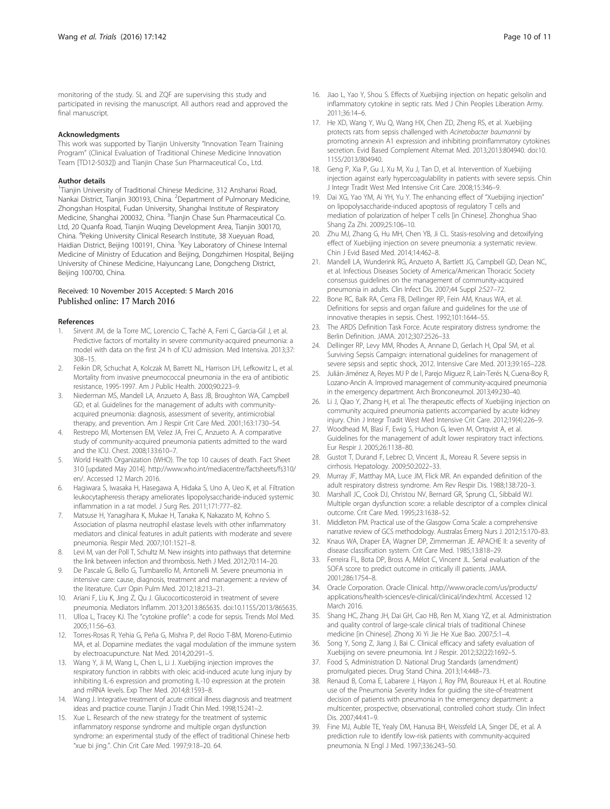<span id="page-9-0"></span>monitoring of the study. SL and ZQF are supervising this study and participated in revising the manuscript. All authors read and approved the final manuscript.

#### Acknowledgments

This work was supported by Tianjin University "Innovation Team Training Program" (Clinical Evaluation of Traditional Chinese Medicine Innovation Team [TD12-5032]) and Tianjin Chase Sun Pharmaceutical Co., Ltd.

#### Author details

<sup>1</sup>Tianjin University of Traditional Chinese Medicine, 312 Anshanxi Road, Nankai District, Tianjin 300193, China. <sup>2</sup>Department of Pulmonary Medicine, Zhongshan Hospital, Fudan University, Shanghai Institute of Respiratory Medicine, Shanghai 200032, China. <sup>3</sup>Tianjin Chase Sun Pharmaceutical Co. Ltd, 20 Quanfa Road, Tianjin Wuqing Development Area, Tianjin 300170, China. <sup>4</sup>Peking University Clinical Research Institute, 38 Xueyuan Road, Haidian District, Beijing 100191, China. <sup>5</sup>Key Laboratory of Chinese Internal Medicine of Ministry of Education and Beijing, Dongzhimen Hospital, Beijing University of Chinese Medicine, Haiyuncang Lane, Dongcheng District, Beijing 100700, China.

#### Received: 10 November 2015 Accepted: 5 March 2016 Published online: 17 March 2016

#### References

- Sirvent JM, de la Torre MC, Lorencio C, Taché A, Ferri C, Garcia-Gil J, et al. Predictive factors of mortality in severe community-acquired pneumonia: a model with data on the first 24 h of ICU admission. Med Intensiva. 2013;37: 308–15.
- 2. Feikin DR, Schuchat A, Kolczak M, Barrett NL, Harrison LH, Lefkowitz L, et al. Mortality from invasive pneumococcal pneumonia in the era of antibiotic resistance, 1995-1997. Am J Public Health. 2000;90:223–9.
- 3. Niederman MS, Mandell LA, Anzueto A, Bass JB, Broughton WA, Campbell GD, et al. Guidelines for the management of adults with communityacquired pneumonia: diagnosis, assessment of severity, antimicrobial therapy, and prevention. Am J Respir Crit Care Med. 2001;163:1730–54.
- 4. Restrepo MI, Mortensen EM, Velez JA, Frei C, Anzueto A. A comparative study of community-acquired pneumonia patients admitted to the ward and the ICU. Chest. 2008;133:610–7.
- 5. World Health Organization (WHO). The top 10 causes of death. Fact Sheet 310 [updated May 2014]. [http://www.who.int/mediacentre/factsheets/fs310/](http://www.who.int/mediacentre/factsheets/fs310/en/) [en/](http://www.who.int/mediacentre/factsheets/fs310/en/). Accessed 12 March 2016.
- 6. Hagiwara S, Iwasaka H, Hasegawa A, Hidaka S, Uno A, Ueo K, et al. Filtration leukocytapheresis therapy ameliorates lipopolysaccharide-induced systemic inflammation in a rat model. J Surg Res. 2011;171:777–82.
- 7. Matsuse H, Yanagihara K, Mukae H, Tanaka K, Nakazato M, Kohno S. Association of plasma neutrophil elastase levels with other inflammatory mediators and clinical features in adult patients with moderate and severe pneumonia. Respir Med. 2007;101:1521–8.
- 8. Levi M, van der Poll T, Schultz M. New insights into pathways that determine the link between infection and thrombosis. Neth J Med. 2012;70:114–20.
- 9. De Pascale G, Bello G, Tumbarello M, Antonelli M. Severe pneumonia in intensive care: cause, diagnosis, treatment and management: a review of the literature. Curr Opin Pulm Med. 2012;18:213–21.
- 10. Ariani F, Liu K, Jing Z, Qu J. Glucocorticosteroid in treatment of severe pneumonia. Mediators Inflamm. 2013;2013:865635. doi[:10.1155/2013/865635](http://dx.doi.org/10.1155/2013/865635).
- 11. Ulloa L, Tracey KJ. The "cytokine profile": a code for sepsis. Trends Mol Med. 2005;11:56–63.
- 12. Torres-Rosas R, Yehia G, Peña G, Mishra P, del Rocio T-BM, Moreno-Eutimio MA, et al. Dopamine mediates the vagal modulation of the immune system by electroacupuncture. Nat Med. 2014;20:291–5.
- 13. Wang Y, Ji M, Wang L, Chen L, Li J. Xuebijing injection improves the respiratory function in rabbits with oleic acid-induced acute lung injury by inhibiting IL-6 expression and promoting IL-10 expression at the protein and mRNA levels. Exp Ther Med. 2014;8:1593–8.
- 14. Wang J. Integrative treatment of acute critical illness diagnosis and treatment ideas and practice course. Tianjin J Tradit Chin Med. 1998;15:241–2.
- 15. Xue L. Research of the new strategy for the treatment of systemic inflammatory response syndrome and multiple organ dysfunction syndrome: an experimental study of the effect of traditional Chinese herb "xue bi jing.". Chin Crit Care Med. 1997;9:18–20. 64.
- 16. Jiao L, Yao Y, Shou S. Effects of Xuebijing injection on hepatic gelsolin and inflammatory cytokine in septic rats. Med J Chin Peoples Liberation Army. 2011;36:14–6.
- 17. He XD, Wang Y, Wu Q, Wang HX, Chen ZD, Zheng RS, et al. Xuebijing protects rats from sepsis challenged with Acinetobacter baumannii by promoting annexin A1 expression and inhibiting proinflammatory cytokines secretion. Evid Based Complement Alternat Med. 2013;2013:804940. doi:[10.](http://dx.doi.org/10.1155/2013/804940) [1155/2013/804940](http://dx.doi.org/10.1155/2013/804940).
- 18. Geng P, Xia P, Gu J, Xu M, Xu J, Tan D, et al. Intervention of Xuebijing injection against early hypercoagulability in patients with severe sepsis. Chin J Integr Tradit West Med Intensive Crit Care. 2008;15:346–9.
- 19. Dai XG, Yao YM, Ai YH, Yu Y. The enhancing effect of "Xuebijing injection" on lipopolysaccharide-induced apoptosis of regulatory T cells and mediation of polarization of helper T cells [in Chinese]. Zhonghua Shao Shang Za Zhi. 2009;25:106–10.
- 20. Zhu MJ, Zhang G, Hu MH, Chen YB, Ji CL. Stasis-resolving and detoxifying effect of Xuebijing injection on severe pneumonia: a systematic review. Chin J Evid Based Med. 2014;14:462–8.
- 21. Mandell LA, Wunderink RG, Anzueto A, Bartlett JG, Campbell GD, Dean NC, et al. Infectious Diseases Society of America/American Thoracic Society consensus guidelines on the management of community-acquired pneumonia in adults. Clin Infect Dis. 2007;44 Suppl 2:S27–72.
- 22. Bone RC, Balk RA, Cerra FB, Dellinger RP, Fein AM, Knaus WA, et al. Definitions for sepsis and organ failure and guidelines for the use of innovative therapies in sepsis. Chest. 1992;101:1644–55.
- 23. The ARDS Definition Task Force. Acute respiratory distress syndrome: the Berlin Definition. JAMA. 2012;307:2526–33.
- 24. Dellinger RP, Levy MM, Rhodes A, Annane D, Gerlach H, Opal SM, et al. Surviving Sepsis Campaign: international guidelines for management of severe sepsis and septic shock, 2012. Intensive Care Med. 2013;39:165–228.
- 25. Julián-Jiménez A, Reyes MJ P de l, Parejo Miguez R, Laín-Terés N, Cuena-Boy R, Lozano-Ancín A. Improved management of community-acquired pneumonia in the emergency department. Arch Bronconeumol. 2013;49:230–40.
- 26. Li J, Qiao Y, Zhang H, et al. The therapeutic effects of Xuebijing injection on community acquired pneumonia patients accompanied by acute kidney injury. Chin J Integr Tradit West Med Intensive Crit Care. 2012;19(4):226–9.
- 27. Woodhead M, Blasi F, Ewig S, Huchon G, Ieven M, Ortqvist A, et al. Guidelines for the management of adult lower respiratory tract infections. Eur Respir J. 2005;26:1138–80.
- 28. Gustot T, Durand F, Lebrec D, Vincent JL, Moreau R. Severe sepsis in cirrhosis. Hepatology. 2009;50:2022–33.
- 29. Murray JF, Matthay MA, Luce JM, Flick MR. An expanded definition of the adult respiratory distress syndrome. Am Rev Respir Dis. 1988;138:720–3.
- 30. Marshall JC, Cook DJ, Christou NV, Bernard GR, Sprung CL, Sibbald WJ. Multiple organ dysfunction score: a reliable descriptor of a complex clinical outcome. Crit Care Med. 1995;23:1638–52.
- 31. Middleton PM. Practical use of the Glasgow Coma Scale: a comprehensive narrative review of GCS methodology. Australas Emerg Nurs J. 2012;15:170–83.
- 32. Knaus WA, Draper EA, Wagner DP, Zimmerman JE. APACHE II: a severity of disease classification system. Crit Care Med. 1985;13:818–29.
- 33. Ferreira FL, Bota DP, Bross A, Mélot C, Vincent JL. Serial evaluation of the SOFA score to predict outcome in critically ill patients. JAMA. 2001;286:1754–8.
- 34. Oracle Corporation. Oracle Clinical. [http://www.oracle.com/us/products/](http://www.oracle.com/us/products/applications/health-sciences/e-clinical/clinical/index.html) [applications/health-sciences/e-clinical/clinical/index.html.](http://www.oracle.com/us/products/applications/health-sciences/e-clinical/clinical/index.html) Accessed 12 March 2016.
- 35. Shang HC, Zhang JH, Dai GH, Cao HB, Ren M, Xiang YZ, et al. Administration and quality control of large-scale clinical trials of traditional Chinese medicine [in Chinese]. Zhong Xi Yi Jie He Xue Bao. 2007;5:1–4.
- 36. Song Y, Song Z, Jiang J, Bai C. Clinical efficacy and safety evaluation of Xuebijing on severe pneumonia. Int J Respir. 2012;32(22):1692–5.
- 37. Food S, Administration D. National Drug Standards (amendment) promulgated pieces. Drug Stand China. 2013;14:448–73.
- 38. Renaud B, Coma E, Labarere J, Hayon J, Roy PM, Boureaux H, et al. Routine use of the Pneumonia Severity Index for guiding the site-of-treatment decision of patients with pneumonia in the emergency department: a multicenter, prospective, observational, controlled cohort study. Clin Infect Dis. 2007;44:41–9.
- 39. Fine MJ, Auble TE, Yealy DM, Hanusa BH, Weissfeld LA, Singer DE, et al. A prediction rule to identify low-risk patients with community-acquired pneumonia. N Engl J Med. 1997;336:243–50.